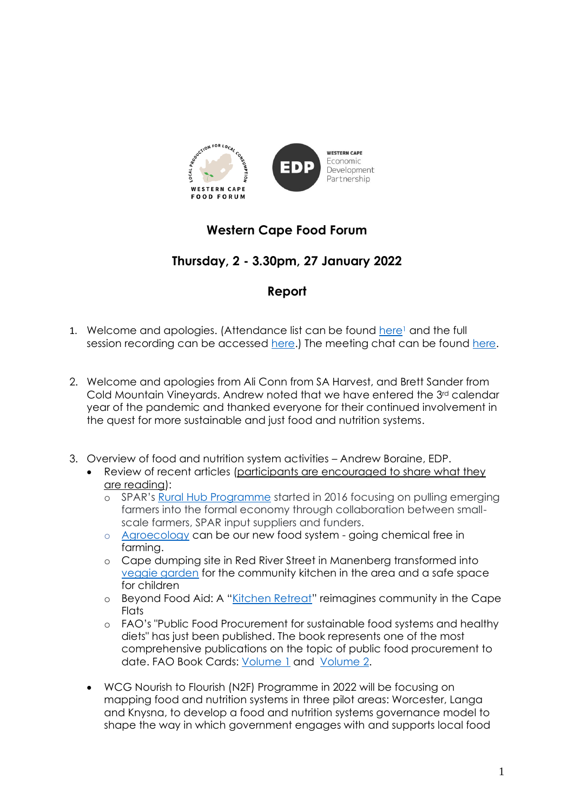

# **Western Cape Food Forum**

# **Thursday, 2 - 3.30pm, 27 January 2022**

## **Report**

- 1. Welcome and apologies. (Attendance list can be found here<sup>1</sup> and the full session recording can be accessed [here.](https://drive.google.com/file/d/1FyIzVsLunJMJzuze0WAtjJPdzM8nr88G/view?usp=sharing)) The meeting chat can be found [here.](https://drive.google.com/file/d/1UPimGQBLx_XO33M3mG9O-UxaLkli2cw-/view?usp=sharing)
- 2. Welcome and apologies from Ali Conn from SA Harvest, and Brett Sander from Cold Mountain Vineyards. Andrew noted that we have entered the 3rd calendar year of the pandemic and thanked everyone for their continued involvement in the quest for more sustainable and just food and nutrition systems.
- 3. Overview of food and nutrition system activities Andrew Boraine, EDP.
	- Review of recent articles (participants are encouraged to share what they are reading):
		- o SPAR's [Rural Hub Programme](https://lowvelder.co.za/765682/spars-rural-hub-programme-empowers-small-scale-farmers/) started in 2016 focusing on pulling emerging farmers into the formal economy through collaboration between smallscale farmers, SPAR input suppliers and funders.
		- o [Agroecology](https://theecologist.org/2022/jan/13/agroecology-can-be-our-new-food-system) can be our new food system going chemical free in farming.
		- o Cape dumping site in Red River Street in Manenberg transformed into [veggie garden](https://www.foodformzansi.co.za/cape-dumping-site-transformed-into-veggie-garden/) for the community kitchen in the area and a safe space for children
		- o Beyond Food Aid: A "[Kitchen Retreat](https://medium.com/enabling-sustainability/beyond-food-aid-a-kitchen-retreat-reimagines-community-in-the-cape-flats-7f2a45fdfdbd)" reimagines community in the Cape **Flats**
		- o FAO's "Public Food Procurement for sustainable food systems and healthy diets" has just been published. The book represents one of the most comprehensive publications on the topic of public food procurement to date. FAO Book Cards: [Volume 1](https://www.fao.org/3/cb7960en/cb7960en.pdf) and [Volume 2.](https://www.fao.org/3/cb7969en/cb7969en.pdf)
	- WCG Nourish to Flourish (N2F) Programme in 2022 will be focusing on mapping food and nutrition systems in three pilot areas: Worcester, Langa and Knysna, to develop a food and nutrition systems governance model to shape the way in which government engages with and supports local food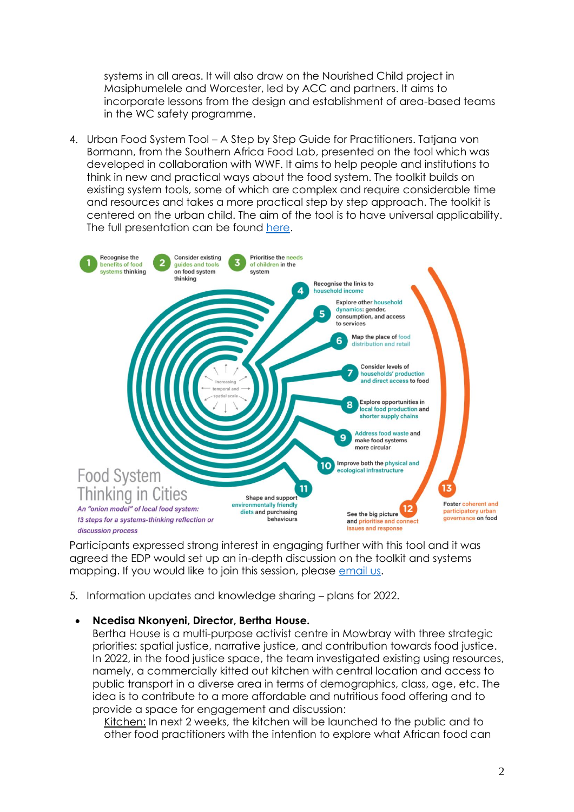systems in all areas. It will also draw on the Nourished Child project in Masiphumelele and Worcester, led by ACC and partners. It aims to incorporate lessons from the design and establishment of area-based teams in the WC safety programme.

4. Urban Food System Tool – A Step by Step Guide for Practitioners. Tatjana von Bormann, from the Southern Africa Food Lab, presented on the tool which was developed in collaboration with WWF. It aims to help people and institutions to think in new and practical ways about the food system. The toolkit builds on existing system tools, some of which are complex and require considerable time and resources and takes a more practical step by step approach. The toolkit is centered on the urban child. The aim of the tool is to have universal applicability. The full presentation can be found [here.](https://drive.google.com/file/d/1kFlyozKc8yTupPs8-KRYlWBoy_xdHIPc/view?usp=sharing)



Participants expressed strong interest in engaging further with this tool and it was agreed the EDP would set up an in-depth discussion on the toolkit and systems mapping. If you would like to join this session, please [email us.](mailto:marcela@wcedp.co.za?subject=I%20want%20to%20engage%20about%20the%20food%20toolkit)

5. Information updates and knowledge sharing – plans for 2022.

#### • **Ncedisa Nkonyeni, Director, Bertha House.**

Bertha House is a multi-purpose activist centre in Mowbray with three strategic priorities: spatial justice, narrative justice, and contribution towards food justice. In 2022, in the food justice space, the team investigated existing using resources, namely, a commercially kitted out kitchen with central location and access to public transport in a diverse area in terms of demographics, class, age, etc. The idea is to contribute to a more affordable and nutritious food offering and to provide a space for engagement and discussion:

Kitchen: In next 2 weeks, the kitchen will be launched to the public and to other food practitioners with the intention to explore what African food can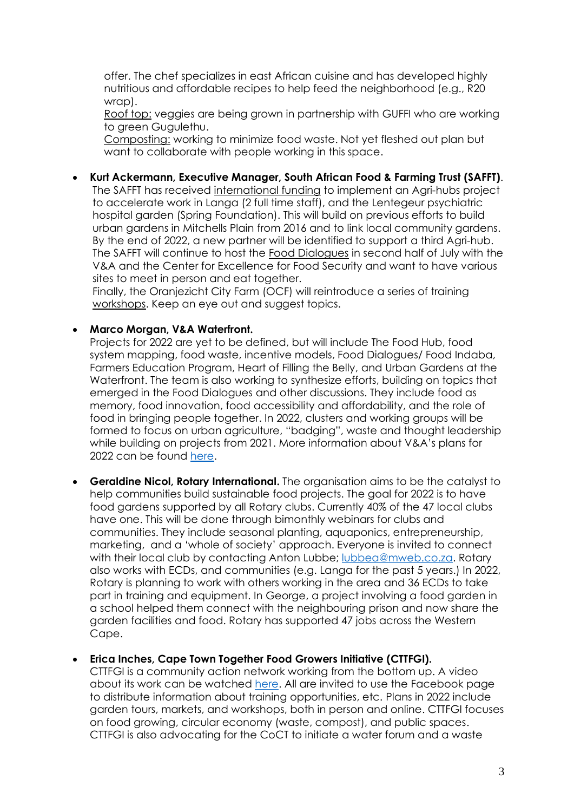offer. The chef specializes in east African cuisine and has developed highly nutritious and affordable recipes to help feed the neighborhood (e.g., R20 wrap).

Roof top: veggies are being grown in partnership with GUFFI who are working to green Gugulethu.

Composting: working to minimize food waste. Not yet fleshed out plan but want to collaborate with people working in this space.

• **Kurt Ackermann, Executive Manager, South African Food & Farming Trust (SAFFT)**.

The SAFFT has received international funding to implement an Agri-hubs project to accelerate work in Langa (2 full time staff), and the Lentegeur psychiatric hospital garden (Spring Foundation). This will build on previous efforts to build urban gardens in Mitchells Plain from 2016 and to link local community gardens. By the end of 2022, a new partner will be identified to support a third Agri-hub. The SAFFT will continue to host the Food Dialogues in second half of July with the V&A and the Center for Excellence for Food Security and want to have various sites to meet in person and eat together.

Finally, the Oranjezicht City Farm (OCF) will reintroduce a series of training workshops. Keep an eye out and suggest topics.

#### • **Marco Morgan, V&A Waterfront.**

Projects for 2022 are yet to be defined, but will include The Food Hub, food system mapping, food waste, incentive models, Food Dialogues/ Food Indaba, Farmers Education Program, Heart of Filling the Belly, and Urban Gardens at the Waterfront. The team is also working to synthesize efforts, building on topics that emerged in the Food Dialogues and other discussions. They include food as memory, food innovation, food accessibility and affordability, and the role of food in bringing people together. In 2022, clusters and working groups will be formed to focus on urban agriculture, "badging", waste and thought leadership while building on projects from 2021. More information about V&A's plans for 2022 can be found [here.](https://drive.google.com/file/d/1F6Jo63JaL5cyVTniRUj1HkVprXFXrl-j/view?usp=sharing)

• **Geraldine Nicol, Rotary International.** The organisation aims to be the catalyst to help communities build sustainable food projects. The goal for 2022 is to have food gardens supported by all Rotary clubs. Currently 40% of the 47 local clubs have one. This will be done through bimonthly webinars for clubs and communities. They include seasonal planting, aquaponics, entrepreneurship, marketing, and a 'whole of society' approach. Everyone is invited to connect with their local club by contacting Anton Lubbe; [lubbea@mweb.co.za.](mailto:lubbea@mweb.co.za) Rotary also works with ECDs, and communities (e.g. Langa for the past 5 years.) In 2022, Rotary is planning to work with others working in the area and 36 ECDs to take part in training and equipment. In George, a project involving a food garden in a school helped them connect with the neighbouring prison and now share the garden facilities and food. Rotary has supported 47 jobs across the Western Cape.

#### • **Erica Inches, Cape Town Together Food Growers Initiative (CTTFGI).**

CTTFGI is a community action network working from the bottom up. A video about its work can be watched [here.](https://youtu.be/gGYpmue1YTA) All are invited to use the Facebook page to distribute information about training opportunities, etc. Plans in 2022 include garden tours, markets, and workshops, both in person and online. CTTFGI focuses on food growing, circular economy (waste, compost), and public spaces. CTTFGI is also advocating for the CoCT to initiate a water forum and a waste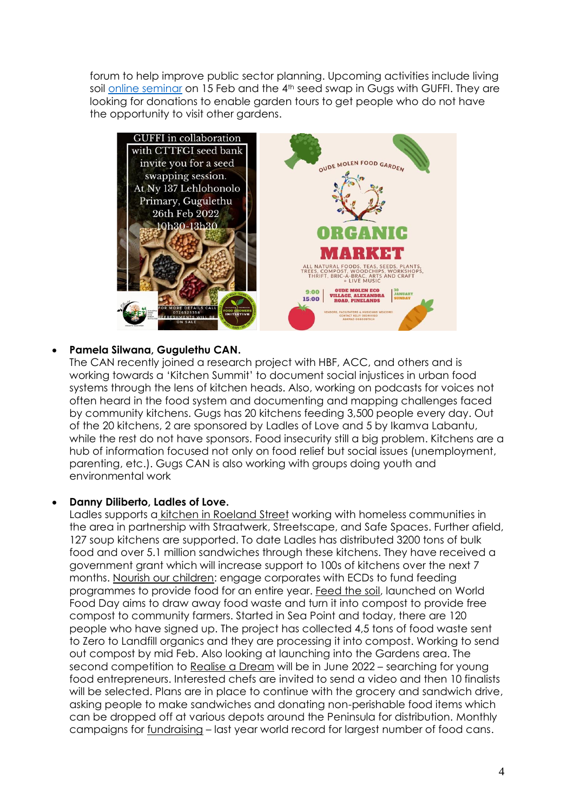forum to help improve public sector planning. Upcoming activities include living soil [online seminar](https://us02web.zoom.us/meeting/register/tZIsf-GtqTItGdW2zbzIxAvDRoROr1qmTlJB) on 15 Feb and the 4<sup>th</sup> seed swap in Gugs with GUFFI. They are looking for donations to enable garden tours to get people who do not have the opportunity to visit other gardens.



### • **Pamela Silwana, Gugulethu CAN.**

The CAN recently joined a research project with HBF, ACC, and others and is working towards a 'Kitchen Summit' to document social injustices in urban food systems through the lens of kitchen heads. Also, working on podcasts for voices not often heard in the food system and documenting and mapping challenges faced by community kitchens. Gugs has 20 kitchens feeding 3,500 people every day. Out of the 20 kitchens, 2 are sponsored by Ladles of Love and 5 by Ikamva Labantu, while the rest do not have sponsors. Food insecurity still a big problem. Kitchens are a hub of information focused not only on food relief but social issues (unemployment, parenting, etc.). Gugs CAN is also working with groups doing youth and environmental work

### • **Danny Diliberto, Ladles of Love.**

Ladles supports a kitchen in Roeland Street working with homeless communities in the area in partnership with Straatwerk, Streetscape, and Safe Spaces. Further afield, 127 soup kitchens are supported. To date Ladles has distributed 3200 tons of bulk food and over 5.1 million sandwiches through these kitchens. They have received a government grant which will increase support to 100s of kitchens over the next 7 months. Nourish our children: engage corporates with ECDs to fund feeding programmes to provide food for an entire year. Feed the soil, launched on World Food Day aims to draw away food waste and turn it into compost to provide free compost to community farmers. Started in Sea Point and today, there are 120 people who have signed up. The project has collected 4,5 tons of food waste sent to Zero to Landfill organics and they are processing it into compost. Working to send out compost by mid Feb. Also looking at launching into the Gardens area. The second competition to Realise a Dream will be in June 2022 – searching for young food entrepreneurs. Interested chefs are invited to send a video and then 10 finalists will be selected. Plans are in place to continue with the grocery and sandwich drive, asking people to make sandwiches and donating non-perishable food items which can be dropped off at various depots around the Peninsula for distribution. Monthly campaigns for fundraising – last year world record for largest number of food cans.